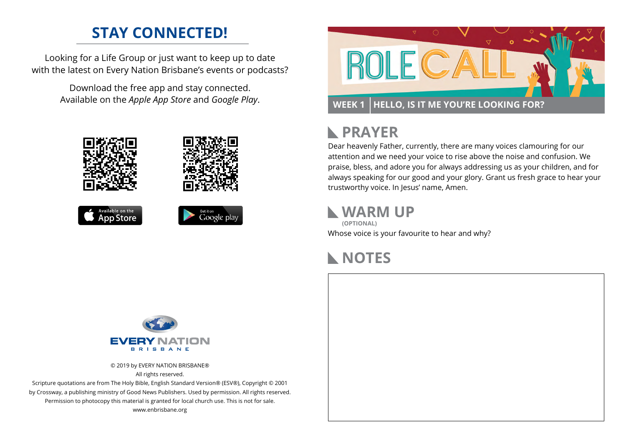## **STAY CONNECTED!**

Looking for a Life Group or just want to keep up to date with the latest on Every Nation Brisbane's events or podcasts?

> Download the free app and stay connected. Available on the *Apple App Store* and *Google Play*.











#### **PRAYER**  $\mathbb{R}$

Dear heavenly Father, currently, there are many voices clamouring for our attention and we need your voice to rise above the noise and confusion. We praise, bless, and adore you for always addressing us as your children, and for always speaking for our good and your glory. Grant us fresh grace to hear your trustworthy voice. In Jesus' name, Amen.

#### **WARM UP**

Whose voice is your favourite to hear and why? **(OPTIONAL)**

# **NOTES**



© 2019 by EVERY NATION BRISBANE® All rights reserved.

Scripture quotations are from The Holy Bible, English Standard Version® (ESV®), Copyright © 2001 by Crossway, a publishing ministry of Good News Publishers. Used by permission. All rights reserved. Permission to photocopy this material is granted for local church use. This is not for sale. www.enbrisbane.org